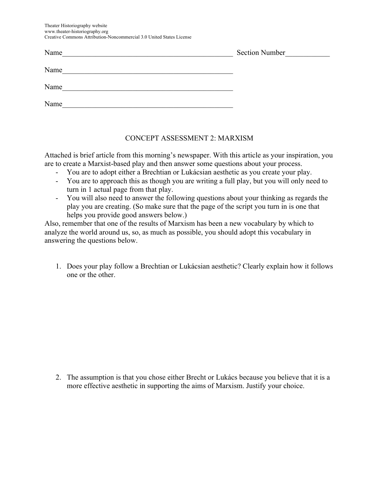Theater Historiography website www.theater-historiography.org Creative Commons Attribution-Noncommercial 3.0 United States License

| Name | <b>Section Number</b> |
|------|-----------------------|
| Name |                       |
| Name |                       |
| Name |                       |
|      |                       |

## CONCEPT ASSESSMENT 2: MARXISM

Attached is brief article from this morning's newspaper. With this article as your inspiration, you are to create a Marxist-based play and then answer some questions about your process.

- You are to adopt either a Brechtian or Lukácsian aesthetic as you create your play.
- You are to approach this as though you are writing a full play, but you will only need to turn in 1 actual page from that play.
- You will also need to answer the following questions about your thinking as regards the play you are creating. (So make sure that the page of the script you turn in is one that helps you provide good answers below.)

Also, remember that one of the results of Marxism has been a new vocabulary by which to analyze the world around us, so, as much as possible, you should adopt this vocabulary in answering the questions below.

1. Does your play follow a Brechtian or Lukácsian aesthetic? Clearly explain how it follows one or the other.

2. The assumption is that you chose either Brecht or Lukács because you believe that it is a more effective aesthetic in supporting the aims of Marxism. Justify your choice.